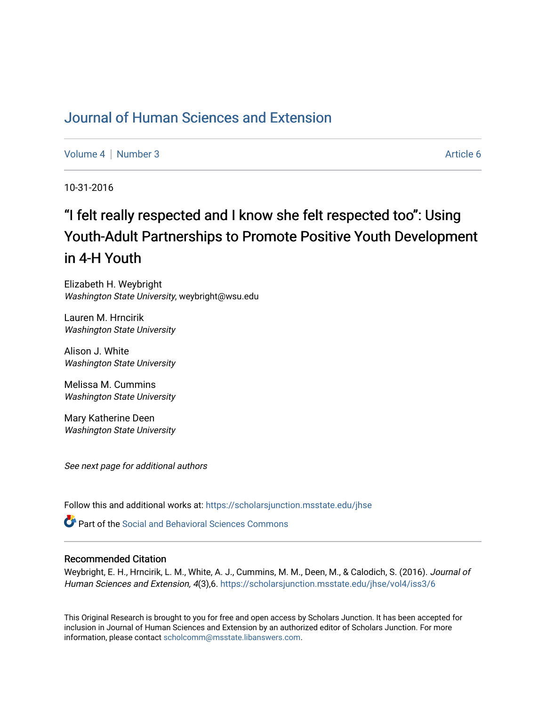## [Journal of Human Sciences and Extension](https://scholarsjunction.msstate.edu/jhse)

[Volume 4](https://scholarsjunction.msstate.edu/jhse/vol4) | [Number 3](https://scholarsjunction.msstate.edu/jhse/vol4/iss3) Article 6

10-31-2016

# "I felt really respected and I know she felt respected too": Using Youth-Adult Partnerships to Promote Positive Youth Development in 4-H Youth

Elizabeth H. Weybright Washington State University, weybright@wsu.edu

Lauren M. Hrncirik Washington State University

Alison J. White Washington State University

Melissa M. Cummins Washington State University

Mary Katherine Deen Washington State University

See next page for additional authors

Follow this and additional works at: [https://scholarsjunction.msstate.edu/jhse](https://scholarsjunction.msstate.edu/jhse?utm_source=scholarsjunction.msstate.edu%2Fjhse%2Fvol4%2Fiss3%2F6&utm_medium=PDF&utm_campaign=PDFCoverPages)

**C** Part of the Social and Behavioral Sciences Commons

#### Recommended Citation

Weybright, E. H., Hrncirik, L. M., White, A. J., Cummins, M. M., Deen, M., & Calodich, S. (2016). Journal of Human Sciences and Extension, 4(3),6. https://scholarsjunction.msstate.edu/jhse/vol4/iss3/6

This Original Research is brought to you for free and open access by Scholars Junction. It has been accepted for inclusion in Journal of Human Sciences and Extension by an authorized editor of Scholars Junction. For more information, please contact [scholcomm@msstate.libanswers.com](mailto:scholcomm@msstate.libanswers.com).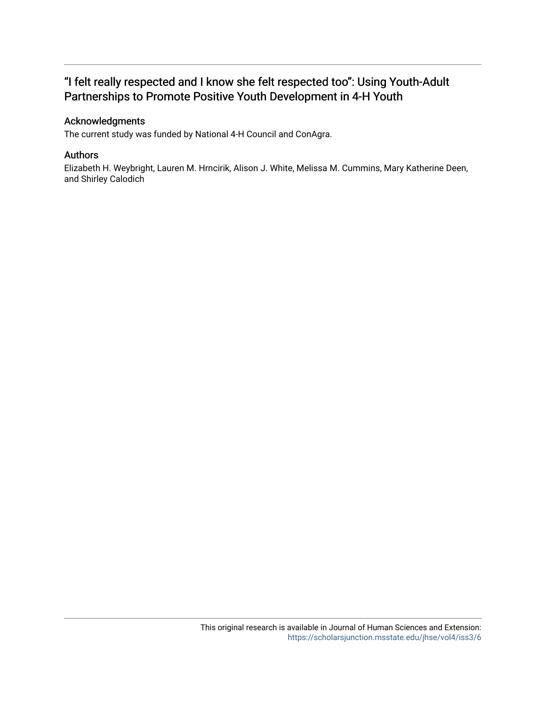## "I felt really respected and I know she felt respected too": Using Youth-Adult Partnerships to Promote Positive Youth Development in 4-H Youth

#### Acknowledgments

The current study was funded by National 4-H Council and ConAgra.

#### Authors

Elizabeth H. Weybright, Lauren M. Hrncirik, Alison J. White, Melissa M. Cummins, Mary Katherine Deen, and Shirley Calodich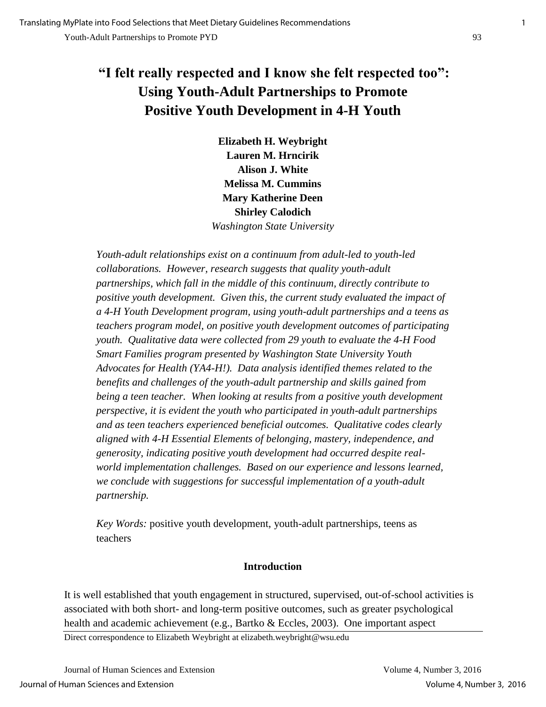## **"I felt really respected and I know she felt respected too": Using Youth-Adult Partnerships to Promote Positive Youth Development in 4-H Youth**

**Elizabeth H. Weybright Lauren M. Hrncirik Alison J. White Melissa M. Cummins Mary Katherine Deen Shirley Calodich**  *Washington State University*

*Youth-adult relationships exist on a continuum from adult-led to youth-led collaborations. However, research suggests that quality youth-adult partnerships, which fall in the middle of this continuum, directly contribute to positive youth development. Given this, the current study evaluated the impact of a 4-H Youth Development program, using youth-adult partnerships and a teens as teachers program model, on positive youth development outcomes of participating youth. Qualitative data were collected from 29 youth to evaluate the 4-H Food Smart Families program presented by Washington State University Youth Advocates for Health (YA4-H!). Data analysis identified themes related to the benefits and challenges of the youth-adult partnership and skills gained from being a teen teacher.* When looking at results from a positive youth development *perspective, it is evident the youth who participated in youth-adult partnerships and as teen teachers experienced beneficial outcomes. Qualitative codes clearly aligned with 4-H Essential Elements of belonging, mastery, independence, and generosity, indicating positive youth development had occurred despite realworld implementation challenges. Based on our experience and lessons learned, we conclude with suggestions for successful implementation of a youth-adult partnership.* 

*Key Words:* positive youth development, youth-adult partnerships, teens as teachers

## **Introduction**

It is well established that youth engagement in structured, supervised, out-of-school activities is associated with both short- and long-term positive outcomes, such as greater psychological health and academic achievement (e.g., Bartko & Eccles, 2003). One important aspect

Direct correspondence to Elizabeth Weybright at elizabeth.weybright@wsu.edu

Journal of Human Sciences and Extension Volume 4, Number 3, 2016 Journal of Human Sciences and Extension Volume 4, Number 3, 2016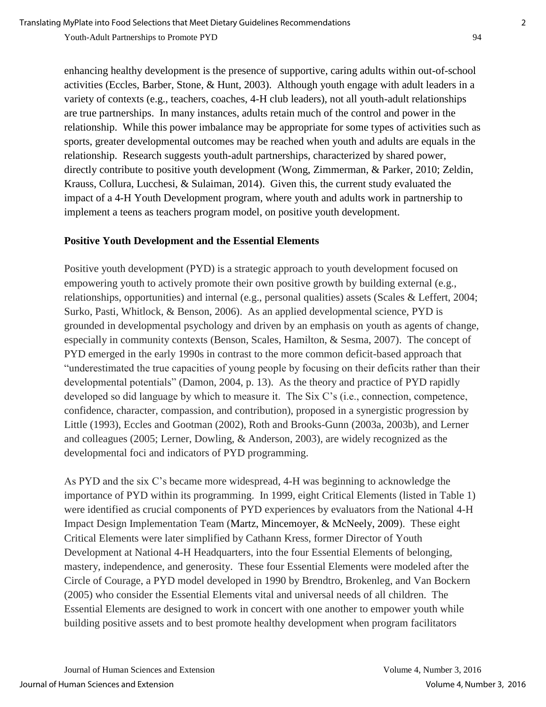enhancing healthy development is the presence of supportive, caring adults within out-of-school activities (Eccles, Barber, Stone, & Hunt, 2003). Although youth engage with adult leaders in a variety of contexts (e.g., teachers, coaches, 4-H club leaders), not all youth-adult relationships are true partnerships. In many instances, adults retain much of the control and power in the relationship. While this power imbalance may be appropriate for some types of activities such as sports, greater developmental outcomes may be reached when youth and adults are equals in the relationship. Research suggests youth-adult partnerships, characterized by shared power, directly contribute to positive youth development (Wong, Zimmerman, & Parker, 2010; Zeldin, Krauss, Collura, Lucchesi, & Sulaiman, 2014). Given this, the current study evaluated the impact of a 4-H Youth Development program, where youth and adults work in partnership to implement a teens as teachers program model, on positive youth development.

#### **Positive Youth Development and the Essential Elements**

Positive youth development (PYD) is a strategic approach to youth development focused on empowering youth to actively promote their own positive growth by building external (e.g., relationships, opportunities) and internal (e.g., personal qualities) assets (Scales & Leffert, 2004; Surko, Pasti, Whitlock, & Benson, 2006). As an applied developmental science, PYD is grounded in developmental psychology and driven by an emphasis on youth as agents of change, especially in community contexts (Benson, Scales, Hamilton, & Sesma, 2007). The concept of PYD emerged in the early 1990s in contrast to the more common deficit-based approach that "underestimated the true capacities of young people by focusing on their deficits rather than their developmental potentials" (Damon, 2004, p. 13). As the theory and practice of PYD rapidly developed so did language by which to measure it. The Six C's (i.e., connection, competence, confidence, character, compassion, and contribution), proposed in a synergistic progression by Little (1993), Eccles and Gootman (2002), Roth and Brooks-Gunn (2003a, 2003b), and Lerner and colleagues (2005; Lerner, Dowling, & Anderson, 2003), are widely recognized as the developmental foci and indicators of PYD programming.

As PYD and the six C's became more widespread, 4-H was beginning to acknowledge the importance of PYD within its programming. In 1999, eight Critical Elements (listed in Table 1) were identified as crucial components of PYD experiences by evaluators from the National 4-H Impact Design Implementation Team (Martz, Mincemoyer, & McNeely, 2009). These eight Critical Elements were later simplified by Cathann Kress, former Director of Youth Development at National 4-H Headquarters, into the four Essential Elements of belonging, mastery, independence, and generosity. These four Essential Elements were modeled after the Circle of Courage, a PYD model developed in 1990 by Brendtro, Brokenleg, and Van Bockern (2005) who consider the Essential Elements vital and universal needs of all children. The Essential Elements are designed to work in concert with one another to empower youth while building positive assets and to best promote healthy development when program facilitators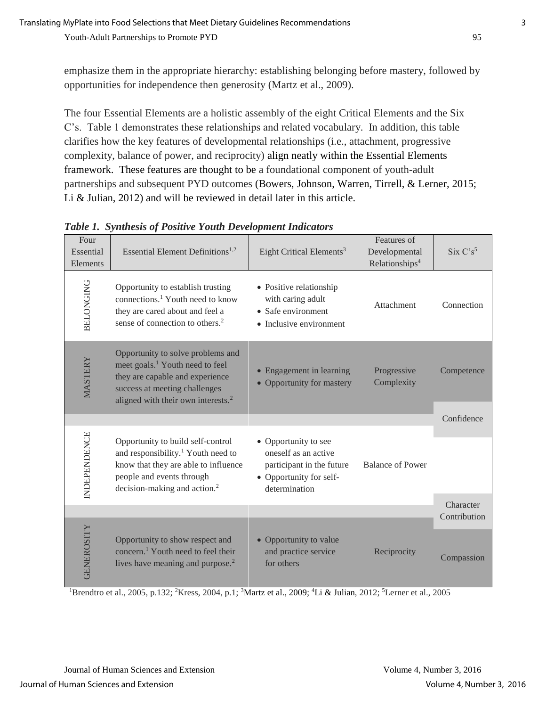emphasize them in the appropriate hierarchy: establishing belonging before mastery, followed by opportunities for independence then generosity (Martz et al., 2009).

The four Essential Elements are a holistic assembly of the eight Critical Elements and the Six C's. Table 1 demonstrates these relationships and related vocabulary. In addition, this table clarifies how the key features of developmental relationships (i.e., attachment, progressive complexity, balance of power, and reciprocity) align neatly within the Essential Elements framework. These features are thought to be a foundational component of youth-adult partnerships and subsequent PYD outcomes (Bowers, Johnson, Warren, Tirrell, & Lerner, 2015; Li & Julian, 2012) and will be reviewed in detail later in this article.

| Four<br>Essential<br>Elements | Essential Element Definitions <sup>1,2</sup>                                                                                                                                                           | Eight Critical Elements <sup>3</sup>                                                                                  | Features of<br>Developmental<br>Relationships <sup>4</sup> | $Six C's^5$  |
|-------------------------------|--------------------------------------------------------------------------------------------------------------------------------------------------------------------------------------------------------|-----------------------------------------------------------------------------------------------------------------------|------------------------------------------------------------|--------------|
| <b>BELONGING</b>              | Opportunity to establish trusting<br>connections. <sup>1</sup> Youth need to know<br>they are cared about and feel a<br>sense of connection to others. <sup>2</sup>                                    | • Positive relationship<br>with caring adult<br>• Safe environment<br>• Inclusive environment                         | Attachment                                                 | Connection   |
| MASTERY                       | Opportunity to solve problems and<br>meet goals. <sup>1</sup> Youth need to feel<br>they are capable and experience<br>success at meeting challenges<br>aligned with their own interests. <sup>2</sup> | • Engagement in learning<br>• Opportunity for mastery                                                                 | Progressive<br>Complexity                                  | Competence   |
|                               |                                                                                                                                                                                                        |                                                                                                                       |                                                            | Confidence   |
| <b>INDEPENDENCE</b>           | Opportunity to build self-control<br>and responsibility. <sup>1</sup> Youth need to<br>know that they are able to influence<br>people and events through<br>decision-making and action. <sup>2</sup>   | • Opportunity to see<br>oneself as an active<br>participant in the future<br>• Opportunity for self-<br>determination | <b>Balance of Power</b>                                    | Character    |
|                               |                                                                                                                                                                                                        |                                                                                                                       |                                                            | Contribution |
| <b>GENEROSITY</b>             | Opportunity to show respect and<br>concern. <sup>1</sup> Youth need to feel their<br>lives have meaning and purpose. <sup>2</sup>                                                                      | • Opportunity to value<br>and practice service<br>for others                                                          | Reciprocity                                                | Compassion   |

*Table 1. Synthesis of Positive Youth Development Indicators* 

<sup>1</sup>Brendtro et al., 2005, p.132; <sup>2</sup>Kress, 2004, p.1; <sup>3</sup>Martz et al., 2009; <sup>4</sup>Li & Julian, 2012; <sup>5</sup>Lerner et al., 2005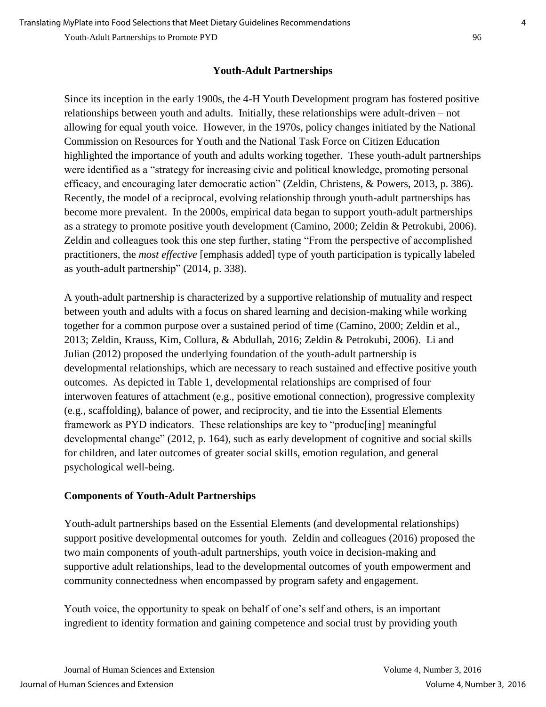## **Youth-Adult Partnerships**

Since its inception in the early 1900s, the 4-H Youth Development program has fostered positive relationships between youth and adults. Initially, these relationships were adult-driven – not allowing for equal youth voice. However, in the 1970s, policy changes initiated by the National Commission on Resources for Youth and the National Task Force on Citizen Education highlighted the importance of youth and adults working together. These youth-adult partnerships were identified as a "strategy for increasing civic and political knowledge, promoting personal efficacy, and encouraging later democratic action" (Zeldin, Christens, & Powers, 2013, p. 386). Recently, the model of a reciprocal, evolving relationship through youth-adult partnerships has become more prevalent. In the 2000s, empirical data began to support youth-adult partnerships as a strategy to promote positive youth development (Camino, 2000; Zeldin & Petrokubi, 2006). Zeldin and colleagues took this one step further, stating "From the perspective of accomplished practitioners, the *most effective* [emphasis added] type of youth participation is typically labeled as youth-adult partnership" (2014, p. 338).

A youth-adult partnership is characterized by a supportive relationship of mutuality and respect between youth and adults with a focus on shared learning and decision-making while working together for a common purpose over a sustained period of time (Camino, 2000; Zeldin et al., 2013; Zeldin, Krauss, Kim, Collura, & Abdullah, 2016; Zeldin & Petrokubi, 2006). Li and Julian (2012) proposed the underlying foundation of the youth-adult partnership is developmental relationships, which are necessary to reach sustained and effective positive youth outcomes. As depicted in Table 1, developmental relationships are comprised of four interwoven features of attachment (e.g., positive emotional connection), progressive complexity (e.g., scaffolding), balance of power, and reciprocity, and tie into the Essential Elements framework as PYD indicators. These relationships are key to "produc[ing] meaningful developmental change" (2012, p. 164), such as early development of cognitive and social skills for children, and later outcomes of greater social skills, emotion regulation, and general psychological well-being.

## **Components of Youth-Adult Partnerships**

Youth-adult partnerships based on the Essential Elements (and developmental relationships) support positive developmental outcomes for youth. Zeldin and colleagues (2016) proposed the two main components of youth-adult partnerships, youth voice in decision-making and supportive adult relationships, lead to the developmental outcomes of youth empowerment and community connectedness when encompassed by program safety and engagement.

Youth voice, the opportunity to speak on behalf of one's self and others, is an important ingredient to identity formation and gaining competence and social trust by providing youth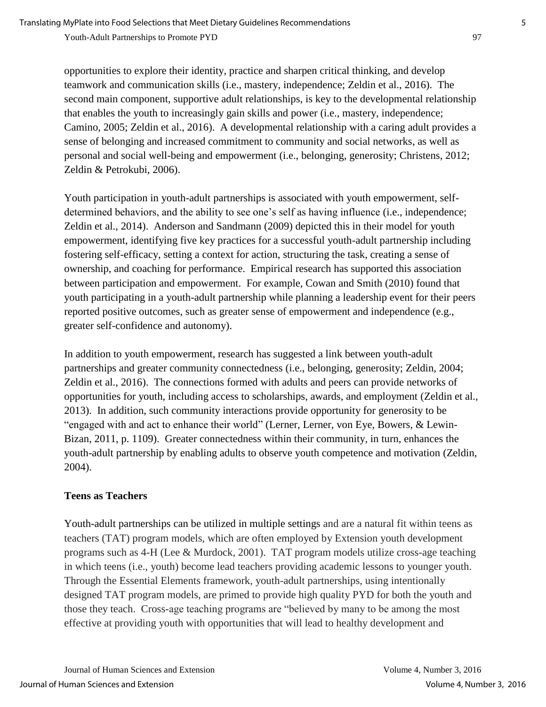opportunities to explore their identity, practice and sharpen critical thinking, and develop teamwork and communication skills (i.e., mastery, independence; Zeldin et al., 2016). The second main component, supportive adult relationships, is key to the developmental relationship that enables the youth to increasingly gain skills and power (i.e., mastery, independence; Camino, 2005; Zeldin et al., 2016). A developmental relationship with a caring adult provides a sense of belonging and increased commitment to community and social networks, as well as

personal and social well-being and empowerment (i.e., belonging, generosity; Christens, 2012; Zeldin & Petrokubi, 2006).

Youth participation in youth-adult partnerships is associated with youth empowerment, selfdetermined behaviors, and the ability to see one's self as having influence (i.e., independence; Zeldin et al., 2014). Anderson and Sandmann (2009) depicted this in their model for youth empowerment, identifying five key practices for a successful youth-adult partnership including fostering self-efficacy, setting a context for action, structuring the task, creating a sense of ownership, and coaching for performance. Empirical research has supported this association between participation and empowerment. For example, Cowan and Smith (2010) found that youth participating in a youth-adult partnership while planning a leadership event for their peers reported positive outcomes, such as greater sense of empowerment and independence (e.g., greater self-confidence and autonomy).

In addition to youth empowerment, research has suggested a link between youth-adult partnerships and greater community connectedness (i.e., belonging, generosity; Zeldin, 2004; Zeldin et al., 2016). The connections formed with adults and peers can provide networks of opportunities for youth, including access to scholarships, awards, and employment (Zeldin et al., 2013). In addition, such community interactions provide opportunity for generosity to be "engaged with and act to enhance their world" (Lerner, Lerner, von Eye, Bowers, & Lewin-Bizan, 2011, p. 1109). Greater connectedness within their community, in turn, enhances the youth-adult partnership by enabling adults to observe youth competence and motivation (Zeldin, 2004).

## **Teens as Teachers**

Youth-adult partnerships can be utilized in multiple settings and are a natural fit within teens as teachers (TAT) program models, which are often employed by Extension youth development programs such as 4-H (Lee & Murdock, 2001). TAT program models utilize cross-age teaching in which teens (i.e., youth) become lead teachers providing academic lessons to younger youth. Through the Essential Elements framework, youth-adult partnerships, using intentionally designed TAT program models, are primed to provide high quality PYD for both the youth and those they teach. Cross-age teaching programs are "believed by many to be among the most effective at providing youth with opportunities that will lead to healthy development and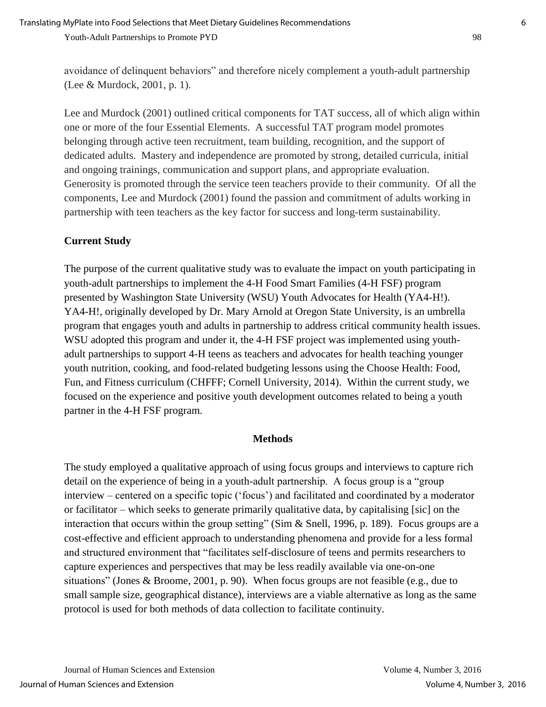avoidance of delinquent behaviors" and therefore nicely complement a youth-adult partnership (Lee & Murdock, 2001, p. 1).

Lee and Murdock (2001) outlined critical components for TAT success, all of which align within one or more of the four Essential Elements. A successful TAT program model promotes belonging through active teen recruitment, team building, recognition, and the support of dedicated adults. Mastery and independence are promoted by strong, detailed curricula, initial and ongoing trainings, communication and support plans, and appropriate evaluation. Generosity is promoted through the service teen teachers provide to their community. Of all the components, Lee and Murdock (2001) found the passion and commitment of adults working in partnership with teen teachers as the key factor for success and long-term sustainability.

### **Current Study**

The purpose of the current qualitative study was to evaluate the impact on youth participating in youth-adult partnerships to implement the 4-H Food Smart Families (4-H FSF) program presented by Washington State University (WSU) Youth Advocates for Health (YA4-H!). YA4-H!, originally developed by Dr. Mary Arnold at Oregon State University, is an umbrella program that engages youth and adults in partnership to address critical community health issues. WSU adopted this program and under it, the 4-H FSF project was implemented using youthadult partnerships to support 4-H teens as teachers and advocates for health teaching younger youth nutrition, cooking, and food-related budgeting lessons using the Choose Health: Food, Fun, and Fitness curriculum (CHFFF; Cornell University, 2014). Within the current study, we focused on the experience and positive youth development outcomes related to being a youth partner in the 4-H FSF program.

#### **Methods**

The study employed a qualitative approach of using focus groups and interviews to capture rich detail on the experience of being in a youth-adult partnership. A focus group is a "group interview – centered on a specific topic ('focus') and facilitated and coordinated by a moderator or facilitator – which seeks to generate primarily qualitative data, by capitalising [sic] on the interaction that occurs within the group setting" (Sim & Snell, 1996, p. 189). Focus groups are a cost-effective and efficient approach to understanding phenomena and provide for a less formal and structured environment that "facilitates self-disclosure of teens and permits researchers to capture experiences and perspectives that may be less readily available via one-on-one situations" (Jones & Broome, 2001, p. 90). When focus groups are not feasible (e.g., due to small sample size, geographical distance), interviews are a viable alternative as long as the same protocol is used for both methods of data collection to facilitate continuity.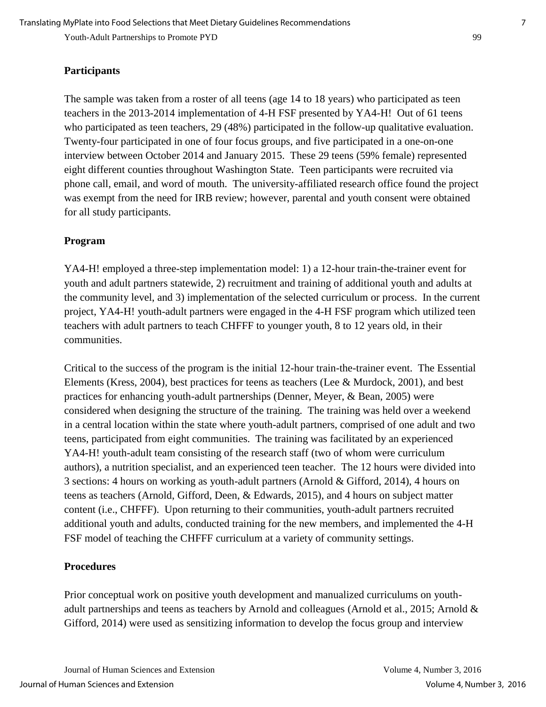#### **Participants**

The sample was taken from a roster of all teens (age 14 to 18 years) who participated as teen teachers in the 2013-2014 implementation of 4-H FSF presented by YA4-H! Out of 61 teens who participated as teen teachers, 29 (48%) participated in the follow-up qualitative evaluation. Twenty-four participated in one of four focus groups, and five participated in a one-on-one interview between October 2014 and January 2015. These 29 teens (59% female) represented eight different counties throughout Washington State. Teen participants were recruited via phone call, email, and word of mouth. The university-affiliated research office found the project was exempt from the need for IRB review; however, parental and youth consent were obtained for all study participants.

#### **Program**

YA4-H! employed a three-step implementation model: 1) a 12-hour train-the-trainer event for youth and adult partners statewide, 2) recruitment and training of additional youth and adults at the community level, and 3) implementation of the selected curriculum or process. In the current project, YA4-H! youth-adult partners were engaged in the 4-H FSF program which utilized teen teachers with adult partners to teach CHFFF to younger youth, 8 to 12 years old, in their communities.

Critical to the success of the program is the initial 12-hour train-the-trainer event. The Essential Elements (Kress, 2004), best practices for teens as teachers (Lee & Murdock, 2001), and best practices for enhancing youth-adult partnerships (Denner, Meyer, & Bean, 2005) were considered when designing the structure of the training. The training was held over a weekend in a central location within the state where youth-adult partners, comprised of one adult and two teens, participated from eight communities. The training was facilitated by an experienced YA4-H! youth-adult team consisting of the research staff (two of whom were curriculum authors), a nutrition specialist, and an experienced teen teacher. The 12 hours were divided into 3 sections: 4 hours on working as youth-adult partners (Arnold & Gifford, 2014), 4 hours on teens as teachers (Arnold, Gifford, Deen, & Edwards, 2015), and 4 hours on subject matter content (i.e., CHFFF). Upon returning to their communities, youth-adult partners recruited additional youth and adults, conducted training for the new members, and implemented the 4-H FSF model of teaching the CHFFF curriculum at a variety of community settings.

#### **Procedures**

Prior conceptual work on positive youth development and manualized curriculums on youthadult partnerships and teens as teachers by Arnold and colleagues (Arnold et al., 2015; Arnold & Gifford, 2014) were used as sensitizing information to develop the focus group and interview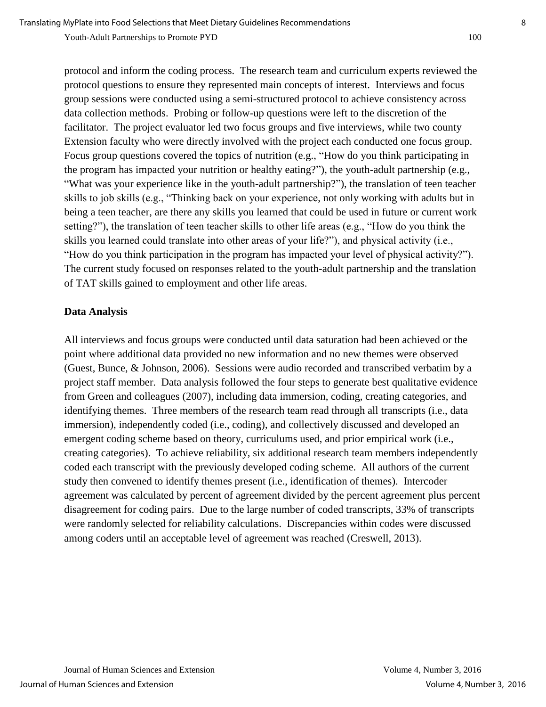protocol and inform the coding process. The research team and curriculum experts reviewed the protocol questions to ensure they represented main concepts of interest. Interviews and focus group sessions were conducted using a semi-structured protocol to achieve consistency across data collection methods. Probing or follow-up questions were left to the discretion of the facilitator. The project evaluator led two focus groups and five interviews, while two county Extension faculty who were directly involved with the project each conducted one focus group. Focus group questions covered the topics of nutrition (e.g., "How do you think participating in the program has impacted your nutrition or healthy eating?"), the youth-adult partnership (e.g., "What was your experience like in the youth-adult partnership?"), the translation of teen teacher skills to job skills (e.g., "Thinking back on your experience, not only working with adults but in being a teen teacher, are there any skills you learned that could be used in future or current work setting?"), the translation of teen teacher skills to other life areas (e.g., "How do you think the skills you learned could translate into other areas of your life?"), and physical activity (i.e., "How do you think participation in the program has impacted your level of physical activity?"). The current study focused on responses related to the youth-adult partnership and the translation of TAT skills gained to employment and other life areas.

#### **Data Analysis**

All interviews and focus groups were conducted until data saturation had been achieved or the point where additional data provided no new information and no new themes were observed (Guest, Bunce, & Johnson, 2006). Sessions were audio recorded and transcribed verbatim by a project staff member. Data analysis followed the four steps to generate best qualitative evidence from Green and colleagues (2007), including data immersion, coding, creating categories, and identifying themes. Three members of the research team read through all transcripts (i.e., data immersion), independently coded (i.e., coding), and collectively discussed and developed an emergent coding scheme based on theory, curriculums used, and prior empirical work (i.e., creating categories). To achieve reliability, six additional research team members independently coded each transcript with the previously developed coding scheme. All authors of the current study then convened to identify themes present (i.e., identification of themes). Intercoder agreement was calculated by percent of agreement divided by the percent agreement plus percent disagreement for coding pairs. Due to the large number of coded transcripts, 33% of transcripts were randomly selected for reliability calculations. Discrepancies within codes were discussed among coders until an acceptable level of agreement was reached (Creswell, 2013).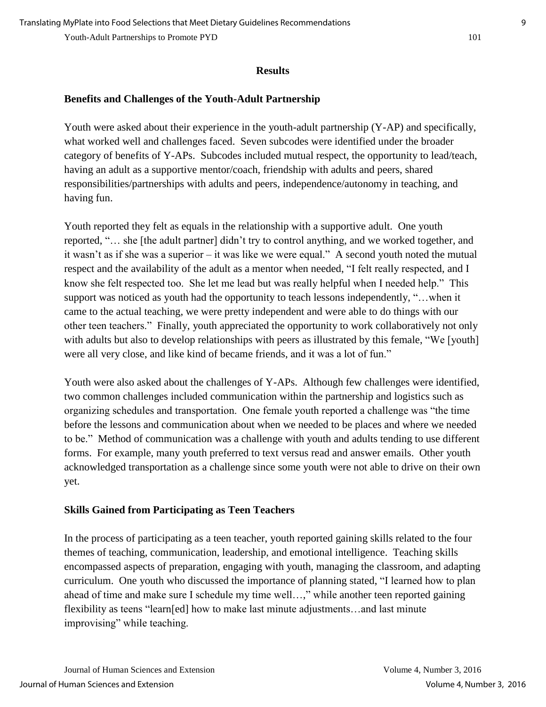#### **Results**

## **Benefits and Challenges of the Youth-Adult Partnership**

Youth were asked about their experience in the youth-adult partnership (Y-AP) and specifically, what worked well and challenges faced. Seven subcodes were identified under the broader category of benefits of Y-APs. Subcodes included mutual respect, the opportunity to lead/teach, having an adult as a supportive mentor/coach, friendship with adults and peers, shared responsibilities/partnerships with adults and peers, independence/autonomy in teaching, and having fun.

Youth reported they felt as equals in the relationship with a supportive adult. One youth reported, "… she [the adult partner] didn't try to control anything, and we worked together, and it wasn't as if she was a superior – it was like we were equal." A second youth noted the mutual respect and the availability of the adult as a mentor when needed, "I felt really respected, and I know she felt respected too. She let me lead but was really helpful when I needed help." This support was noticed as youth had the opportunity to teach lessons independently, "…when it came to the actual teaching, we were pretty independent and were able to do things with our other teen teachers." Finally, youth appreciated the opportunity to work collaboratively not only with adults but also to develop relationships with peers as illustrated by this female, "We [youth] were all very close, and like kind of became friends, and it was a lot of fun."

Youth were also asked about the challenges of Y-APs. Although few challenges were identified, two common challenges included communication within the partnership and logistics such as organizing schedules and transportation. One female youth reported a challenge was "the time before the lessons and communication about when we needed to be places and where we needed to be." Method of communication was a challenge with youth and adults tending to use different forms. For example, many youth preferred to text versus read and answer emails. Other youth acknowledged transportation as a challenge since some youth were not able to drive on their own yet.

## **Skills Gained from Participating as Teen Teachers**

In the process of participating as a teen teacher, youth reported gaining skills related to the four themes of teaching, communication, leadership, and emotional intelligence. Teaching skills encompassed aspects of preparation, engaging with youth, managing the classroom, and adapting curriculum. One youth who discussed the importance of planning stated, "I learned how to plan ahead of time and make sure I schedule my time well…," while another teen reported gaining flexibility as teens "learn[ed] how to make last minute adjustments…and last minute improvising" while teaching.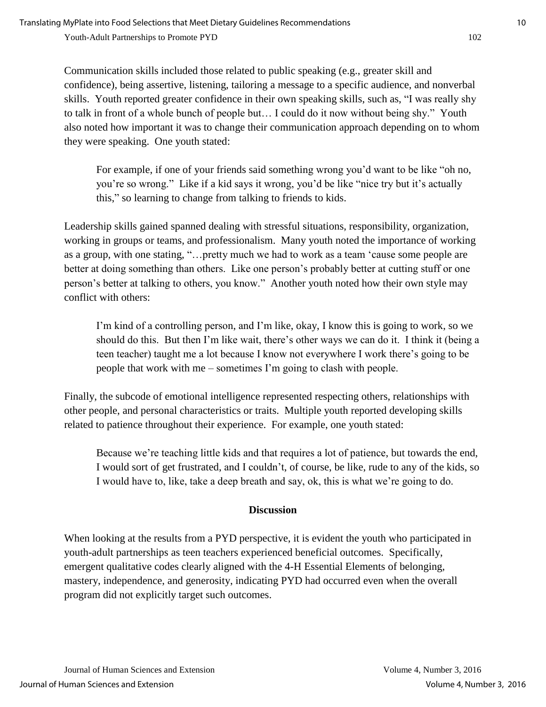Communication skills included those related to public speaking (e.g., greater skill and confidence), being assertive, listening, tailoring a message to a specific audience, and nonverbal skills. Youth reported greater confidence in their own speaking skills, such as, "I was really shy to talk in front of a whole bunch of people but… I could do it now without being shy." Youth also noted how important it was to change their communication approach depending on to whom they were speaking. One youth stated:

For example, if one of your friends said something wrong you'd want to be like "oh no, you're so wrong." Like if a kid says it wrong, you'd be like "nice try but it's actually this," so learning to change from talking to friends to kids.

Leadership skills gained spanned dealing with stressful situations, responsibility, organization, working in groups or teams, and professionalism. Many youth noted the importance of working as a group, with one stating, "…pretty much we had to work as a team 'cause some people are better at doing something than others. Like one person's probably better at cutting stuff or one person's better at talking to others, you know." Another youth noted how their own style may conflict with others:

I'm kind of a controlling person, and I'm like, okay, I know this is going to work, so we should do this. But then I'm like wait, there's other ways we can do it. I think it (being a teen teacher) taught me a lot because I know not everywhere I work there's going to be people that work with me – sometimes I'm going to clash with people.

Finally, the subcode of emotional intelligence represented respecting others, relationships with other people, and personal characteristics or traits. Multiple youth reported developing skills related to patience throughout their experience. For example, one youth stated:

Because we're teaching little kids and that requires a lot of patience, but towards the end, I would sort of get frustrated, and I couldn't, of course, be like, rude to any of the kids, so I would have to, like, take a deep breath and say, ok, this is what we're going to do.

#### **Discussion**

When looking at the results from a PYD perspective, it is evident the youth who participated in youth-adult partnerships as teen teachers experienced beneficial outcomes. Specifically, emergent qualitative codes clearly aligned with the 4-H Essential Elements of belonging, mastery, independence, and generosity, indicating PYD had occurred even when the overall program did not explicitly target such outcomes.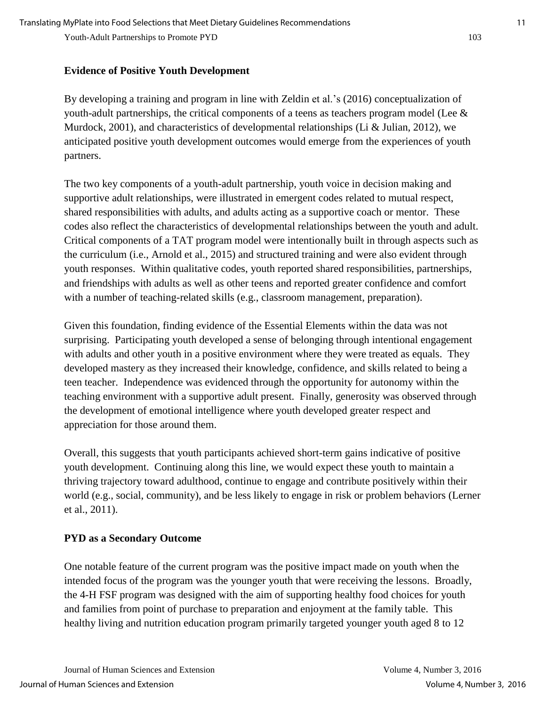#### **Evidence of Positive Youth Development**

By developing a training and program in line with Zeldin et al.'s (2016) conceptualization of youth-adult partnerships, the critical components of a teens as teachers program model (Lee  $\&$ Murdock, 2001), and characteristics of developmental relationships (Li & Julian, 2012), we anticipated positive youth development outcomes would emerge from the experiences of youth partners.

The two key components of a youth-adult partnership, youth voice in decision making and supportive adult relationships, were illustrated in emergent codes related to mutual respect, shared responsibilities with adults, and adults acting as a supportive coach or mentor. These codes also reflect the characteristics of developmental relationships between the youth and adult. Critical components of a TAT program model were intentionally built in through aspects such as the curriculum (i.e., Arnold et al., 2015) and structured training and were also evident through youth responses. Within qualitative codes, youth reported shared responsibilities, partnerships, and friendships with adults as well as other teens and reported greater confidence and comfort with a number of teaching-related skills (e.g., classroom management, preparation).

Given this foundation, finding evidence of the Essential Elements within the data was not surprising. Participating youth developed a sense of belonging through intentional engagement with adults and other youth in a positive environment where they were treated as equals. They developed mastery as they increased their knowledge, confidence, and skills related to being a teen teacher. Independence was evidenced through the opportunity for autonomy within the teaching environment with a supportive adult present. Finally, generosity was observed through the development of emotional intelligence where youth developed greater respect and appreciation for those around them.

Overall, this suggests that youth participants achieved short-term gains indicative of positive youth development. Continuing along this line, we would expect these youth to maintain a thriving trajectory toward adulthood, continue to engage and contribute positively within their world (e.g., social, community), and be less likely to engage in risk or problem behaviors (Lerner et al., 2011).

## **PYD as a Secondary Outcome**

One notable feature of the current program was the positive impact made on youth when the intended focus of the program was the younger youth that were receiving the lessons. Broadly, the 4-H FSF program was designed with the aim of supporting healthy food choices for youth and families from point of purchase to preparation and enjoyment at the family table. This healthy living and nutrition education program primarily targeted younger youth aged 8 to 12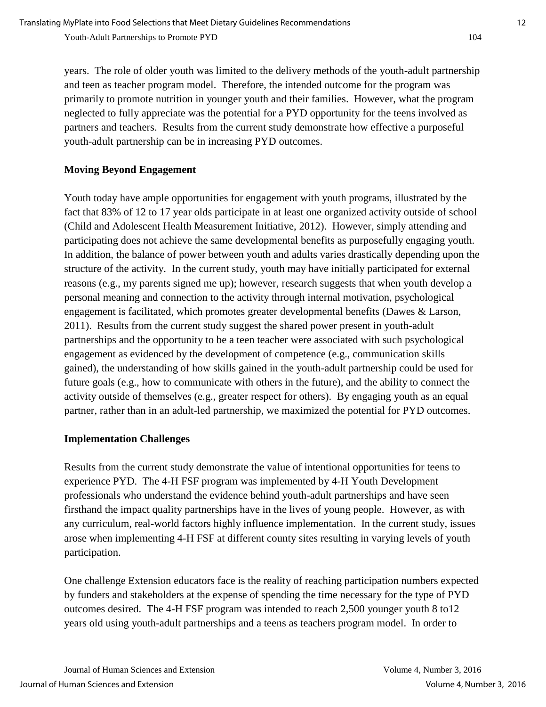years. The role of older youth was limited to the delivery methods of the youth-adult partnership and teen as teacher program model. Therefore, the intended outcome for the program was primarily to promote nutrition in younger youth and their families. However, what the program neglected to fully appreciate was the potential for a PYD opportunity for the teens involved as partners and teachers. Results from the current study demonstrate how effective a purposeful youth-adult partnership can be in increasing PYD outcomes.

## **Moving Beyond Engagement**

Youth today have ample opportunities for engagement with youth programs, illustrated by the fact that 83% of 12 to 17 year olds participate in at least one organized activity outside of school (Child and Adolescent Health Measurement Initiative, 2012). However, simply attending and participating does not achieve the same developmental benefits as purposefully engaging youth. In addition, the balance of power between youth and adults varies drastically depending upon the structure of the activity. In the current study, youth may have initially participated for external reasons (e.g., my parents signed me up); however, research suggests that when youth develop a personal meaning and connection to the activity through internal motivation, psychological engagement is facilitated, which promotes greater developmental benefits (Dawes & Larson, 2011). Results from the current study suggest the shared power present in youth-adult partnerships and the opportunity to be a teen teacher were associated with such psychological engagement as evidenced by the development of competence (e.g., communication skills gained), the understanding of how skills gained in the youth-adult partnership could be used for future goals (e.g., how to communicate with others in the future), and the ability to connect the activity outside of themselves (e.g., greater respect for others). By engaging youth as an equal partner, rather than in an adult-led partnership, we maximized the potential for PYD outcomes.

## **Implementation Challenges**

Results from the current study demonstrate the value of intentional opportunities for teens to experience PYD. The 4-H FSF program was implemented by 4-H Youth Development professionals who understand the evidence behind youth-adult partnerships and have seen firsthand the impact quality partnerships have in the lives of young people. However, as with any curriculum, real-world factors highly influence implementation. In the current study, issues arose when implementing 4-H FSF at different county sites resulting in varying levels of youth participation.

One challenge Extension educators face is the reality of reaching participation numbers expected by funders and stakeholders at the expense of spending the time necessary for the type of PYD outcomes desired. The 4-H FSF program was intended to reach 2,500 younger youth 8 to12 years old using youth-adult partnerships and a teens as teachers program model. In order to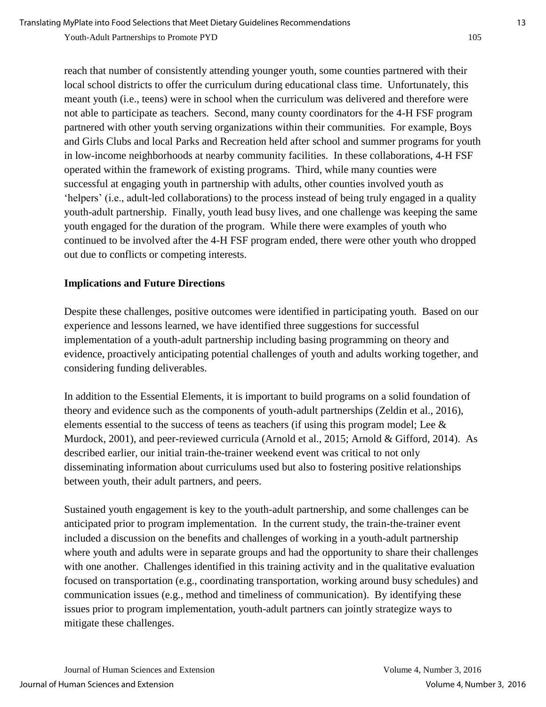reach that number of consistently attending younger youth, some counties partnered with their local school districts to offer the curriculum during educational class time. Unfortunately, this meant youth (i.e., teens) were in school when the curriculum was delivered and therefore were not able to participate as teachers. Second, many county coordinators for the 4-H FSF program partnered with other youth serving organizations within their communities. For example, Boys and Girls Clubs and local Parks and Recreation held after school and summer programs for youth in low-income neighborhoods at nearby community facilities. In these collaborations, 4-H FSF operated within the framework of existing programs. Third, while many counties were successful at engaging youth in partnership with adults, other counties involved youth as 'helpers' (i.e., adult-led collaborations) to the process instead of being truly engaged in a quality youth-adult partnership. Finally, youth lead busy lives, and one challenge was keeping the same youth engaged for the duration of the program. While there were examples of youth who continued to be involved after the 4-H FSF program ended, there were other youth who dropped out due to conflicts or competing interests.

#### **Implications and Future Directions**

Despite these challenges, positive outcomes were identified in participating youth. Based on our experience and lessons learned, we have identified three suggestions for successful implementation of a youth-adult partnership including basing programming on theory and evidence, proactively anticipating potential challenges of youth and adults working together, and considering funding deliverables.

In addition to the Essential Elements, it is important to build programs on a solid foundation of theory and evidence such as the components of youth-adult partnerships (Zeldin et al., 2016), elements essential to the success of teens as teachers (if using this program model; Lee  $\&$ Murdock, 2001), and peer-reviewed curricula (Arnold et al., 2015; Arnold & Gifford, 2014). As described earlier, our initial train-the-trainer weekend event was critical to not only disseminating information about curriculums used but also to fostering positive relationships between youth, their adult partners, and peers.

Sustained youth engagement is key to the youth-adult partnership, and some challenges can be anticipated prior to program implementation. In the current study, the train-the-trainer event included a discussion on the benefits and challenges of working in a youth-adult partnership where youth and adults were in separate groups and had the opportunity to share their challenges with one another. Challenges identified in this training activity and in the qualitative evaluation focused on transportation (e.g., coordinating transportation, working around busy schedules) and communication issues (e.g., method and timeliness of communication). By identifying these issues prior to program implementation, youth-adult partners can jointly strategize ways to mitigate these challenges.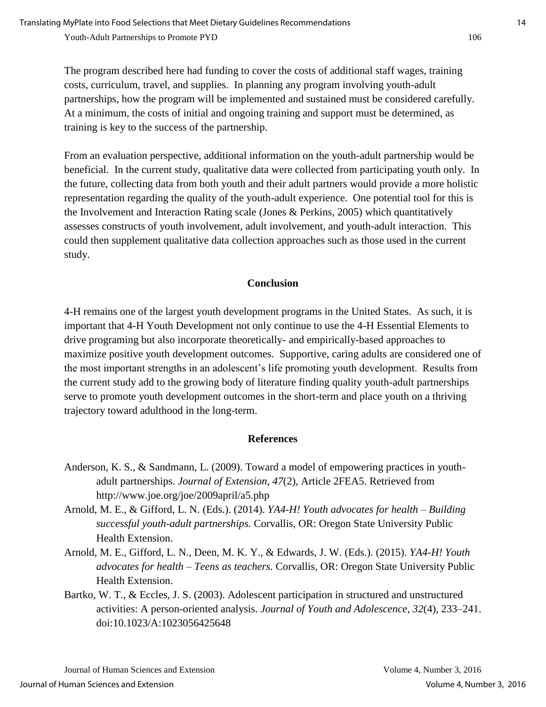The program described here had funding to cover the costs of additional staff wages, training costs, curriculum, travel, and supplies. In planning any program involving youth-adult partnerships, how the program will be implemented and sustained must be considered carefully. At a minimum, the costs of initial and ongoing training and support must be determined, as training is key to the success of the partnership.

From an evaluation perspective, additional information on the youth-adult partnership would be beneficial. In the current study, qualitative data were collected from participating youth only. In the future, collecting data from both youth and their adult partners would provide a more holistic representation regarding the quality of the youth-adult experience. One potential tool for this is the Involvement and Interaction Rating scale (Jones & Perkins, 2005) which quantitatively assesses constructs of youth involvement, adult involvement, and youth-adult interaction. This could then supplement qualitative data collection approaches such as those used in the current study.

#### **Conclusion**

4-H remains one of the largest youth development programs in the United States. As such, it is important that 4-H Youth Development not only continue to use the 4-H Essential Elements to drive programing but also incorporate theoretically- and empirically-based approaches to maximize positive youth development outcomes. Supportive, caring adults are considered one of the most important strengths in an adolescent's life promoting youth development. Results from the current study add to the growing body of literature finding quality youth-adult partnerships serve to promote youth development outcomes in the short-term and place youth on a thriving trajectory toward adulthood in the long-term.

#### **References**

- Anderson, K. S., & Sandmann, L. (2009). Toward a model of empowering practices in youthadult partnerships. *Journal of Extension*, *47*(2), Article 2FEA5. Retrieved from http://www.joe.org/joe/2009april/a5.php
- Arnold, M. E., & Gifford, L. N. (Eds.). (2014). *YA4-H! Youth advocates for health – Building successful youth-adult partnerships.* Corvallis, OR: Oregon State University Public Health Extension.
- Arnold, M. E., Gifford, L. N., Deen, M. K. Y., & Edwards, J. W. (Eds.). (2015). *YA4-H! Youth advocates for health – Teens as teachers.* Corvallis, OR: Oregon State University Public Health Extension.
- Bartko, W. T., & Eccles, J. S. (2003). Adolescent participation in structured and unstructured activities: A person-oriented analysis. *Journal of Youth and Adolescence*, *32*(4), 233–241. doi:10.1023/A:1023056425648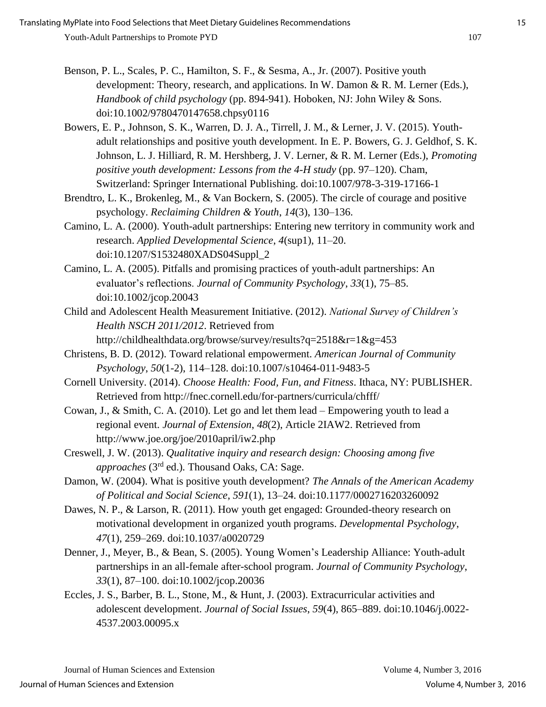- Benson, P. L., Scales, P. C., Hamilton, S. F., & Sesma, A., Jr. (2007). Positive youth development: Theory, research, and applications. In W. Damon & R. M. Lerner (Eds.), *Handbook of child psychology* (pp. 894-941). Hoboken, NJ: John Wiley & Sons. doi:10.1002/9780470147658.chpsy0116
- Bowers, E. P., Johnson, S. K., Warren, D. J. A., Tirrell, J. M., & Lerner, J. V. (2015). Youthadult relationships and positive youth development. In E. P. Bowers, G. J. Geldhof, S. K. Johnson, L. J. Hilliard, R. M. Hershberg, J. V. Lerner, & R. M. Lerner (Eds.), *Promoting positive youth development: Lessons from the 4-H study* (pp. 97–120). Cham, Switzerland: Springer International Publishing. doi:10.1007/978-3-319-17166-1
- Brendtro, L. K., Brokenleg, M., & Van Bockern, S. (2005). The circle of courage and positive psychology. *Reclaiming Children & Youth*, *14*(3), 130–136.
- Camino, L. A. (2000). Youth-adult partnerships: Entering new territory in community work and research. *Applied Developmental Science*, *4*(sup1), 11–20. doi:10.1207/S1532480XADS04Suppl\_2
- Camino, L. A. (2005). Pitfalls and promising practices of youth-adult partnerships: An evaluator's reflections. *Journal of Community Psychology*, *33*(1), 75–85. doi:10.1002/jcop.20043
- Child and Adolescent Health Measurement Initiative. (2012). *National Survey of Children's Health NSCH 2011/2012*. Retrieved from
	- http://childhealthdata.org/browse/survey/results?q=2518&r=1&g=453
- Christens, B. D. (2012). Toward relational empowerment. *American Journal of Community Psychology*, *50*(1-2), 114–128. doi:10.1007/s10464-011-9483-5
- Cornell University. (2014). *Choose Health: Food, Fun, and Fitness*. Ithaca, NY: PUBLISHER. Retrieved from http://fnec.cornell.edu/for-partners/curricula/chfff/
- Cowan, J., & Smith, C. A. (2010). Let go and let them lead Empowering youth to lead a regional event. *Journal of Extension*, *48*(2), Article 2IAW2. Retrieved from http://www.joe.org/joe/2010april/iw2.php
- Creswell, J. W. (2013). *Qualitative inquiry and research design: Choosing among five approaches* (3rd ed.)*.* Thousand Oaks, CA: Sage.
- Damon, W. (2004). What is positive youth development? *The Annals of the American Academy of Political and Social Science*, *591*(1), 13–24. doi:10.1177/0002716203260092
- Dawes, N. P., & Larson, R. (2011). How youth get engaged: Grounded-theory research on motivational development in organized youth programs. *Developmental Psychology*, *47*(1), 259–269. doi:10.1037/a0020729
- Denner, J., Meyer, B., & Bean, S. (2005). Young Women's Leadership Alliance: Youth-adult partnerships in an all-female after-school program. *Journal of Community Psychology*, *33*(1), 87–100. doi:10.1002/jcop.20036
- Eccles, J. S., Barber, B. L., Stone, M., & Hunt, J. (2003). Extracurricular activities and adolescent development. *Journal of Social Issues*, *59*(4), 865–889. doi:10.1046/j.0022- 4537.2003.00095.x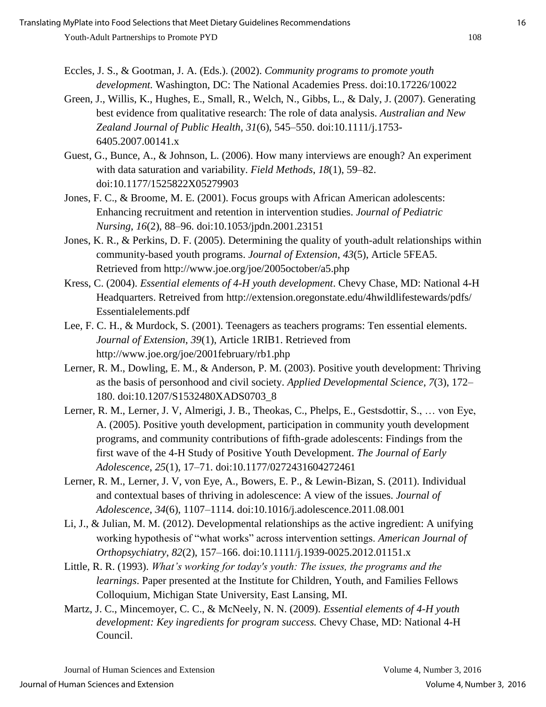- Eccles, J. S., & Gootman, J. A. (Eds.). (2002). *Community programs to promote youth development.* Washington, DC: The National Academies Press. doi:10.17226/10022
- Green, J., Willis, K., Hughes, E., Small, R., Welch, N., Gibbs, L., & Daly, J. (2007). Generating best evidence from qualitative research: The role of data analysis. *Australian and New Zealand Journal of Public Health*, *31*(6), 545–550. doi:10.1111/j.1753- 6405.2007.00141.x
- Guest, G., Bunce, A., & Johnson, L. (2006). How many interviews are enough? An experiment with data saturation and variability. *Field Methods*, *18*(1), 59–82. doi:10.1177/1525822X05279903
- Jones, F. C., & Broome, M. E. (2001). Focus groups with African American adolescents: Enhancing recruitment and retention in intervention studies. *Journal of Pediatric Nursing*, *16*(2), 88–96. doi:10.1053/jpdn.2001.23151
- Jones, K. R., & Perkins, D. F. (2005). Determining the quality of youth-adult relationships within community-based youth programs. *Journal of Extension*, *43*(5), Article 5FEA5. Retrieved from http://www.joe.org/joe/2005october/a5.php
- Kress, C. (2004). *Essential elements of 4-H youth development*. Chevy Chase, MD: National 4-H Headquarters. Retreived from http://extension.oregonstate.edu/4hwildlifestewards/pdfs/ Essentialelements.pdf
- Lee, F. C. H., & Murdock, S. (2001). Teenagers as teachers programs: Ten essential elements. *Journal of Extension*, *39*(1), Article 1RIB1. Retrieved from http://www.joe.org/joe/2001february/rb1.php
- Lerner, R. M., Dowling, E. M., & Anderson, P. M. (2003). Positive youth development: Thriving as the basis of personhood and civil society. *Applied Developmental Science*, *7*(3), 172– 180. doi:10.1207/S1532480XADS0703\_8
- Lerner, R. M., Lerner, J. V, Almerigi, J. B., Theokas, C., Phelps, E., Gestsdottir, S., … von Eye, A. (2005). Positive youth development, participation in community youth development programs, and community contributions of fifth-grade adolescents: Findings from the first wave of the 4-H Study of Positive Youth Development. *The Journal of Early Adolescence*, *25*(1), 17–71. doi:10.1177/0272431604272461
- Lerner, R. M., Lerner, J. V, von Eye, A., Bowers, E. P., & Lewin-Bizan, S. (2011). Individual and contextual bases of thriving in adolescence: A view of the issues. *Journal of Adolescence*, *34*(6), 1107–1114. doi:10.1016/j.adolescence.2011.08.001
- Li, J., & Julian, M. M. (2012). Developmental relationships as the active ingredient: A unifying working hypothesis of "what works" across intervention settings. *American Journal of Orthopsychiatry*, *82*(2), 157–166. doi:10.1111/j.1939-0025.2012.01151.x
- Little, R. R. (1993). *What's working for today's youth: The issues, the programs and the learnings*. Paper presented at the Institute for Children, Youth, and Families Fellows Colloquium, Michigan State University, East Lansing, MI.
- Martz, J. C., Mincemoyer, C. C., & McNeely, N. N. (2009). *Essential elements of 4-H youth development: Key ingredients for program success.* Chevy Chase, MD: National 4-H Council.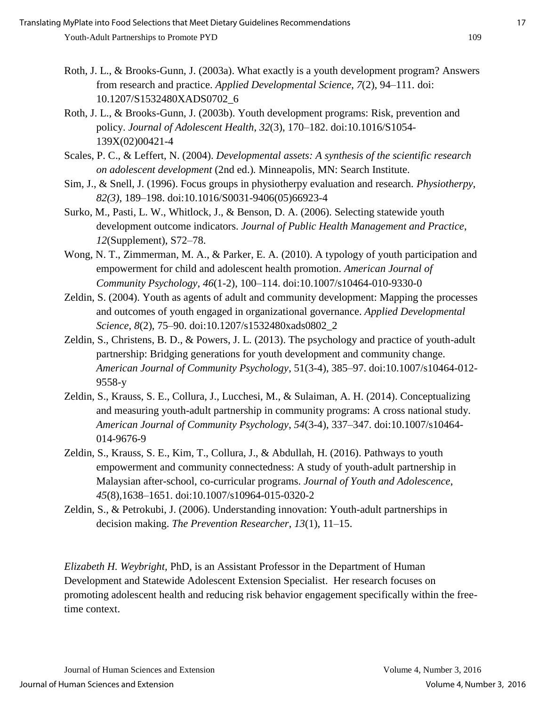- Roth, J. L., & Brooks-Gunn, J. (2003a). What exactly is a youth development program? Answers from research and practice. *Applied Developmental Science*, *7*(2), 94–111. doi: 10.1207/S1532480XADS0702\_6
- Roth, J. L., & Brooks-Gunn, J. (2003b). Youth development programs: Risk, prevention and policy. *Journal of Adolescent Health*, *32*(3), 170–182. doi:10.1016/S1054- 139X(02)00421-4
- Scales, P. C., & Leffert, N. (2004). *Developmental assets: A synthesis of the scientific research on adolescent development* (2nd ed.)*.* Minneapolis, MN: Search Institute.
- Sim, J., & Snell, J. (1996). Focus groups in physiotherpy evaluation and research. *Physiotherpy*, *82(3)*, 189–198. doi:10.1016/S0031-9406(05)66923-4
- Surko, M., Pasti, L. W., Whitlock, J., & Benson, D. A. (2006). Selecting statewide youth development outcome indicators. *Journal of Public Health Management and Practice*, *12*(Supplement), S72–78.
- Wong, N. T., Zimmerman, M. A., & Parker, E. A. (2010). A typology of youth participation and empowerment for child and adolescent health promotion. *American Journal of Community Psychology*, *46*(1-2), 100–114. doi:10.1007/s10464-010-9330-0
- Zeldin, S. (2004). Youth as agents of adult and community development: Mapping the processes and outcomes of youth engaged in organizational governance. *Applied Developmental Science*, *8*(2), 75–90. doi:10.1207/s1532480xads0802\_2
- Zeldin, S., Christens, B. D., & Powers, J. L. (2013). The psychology and practice of youth-adult partnership: Bridging generations for youth development and community change. *American Journal of Community Psychology*, 51(3-4), 385–97. doi:10.1007/s10464-012- 9558-y
- Zeldin, S., Krauss, S. E., Collura, J., Lucchesi, M., & Sulaiman, A. H. (2014). Conceptualizing and measuring youth-adult partnership in community programs: A cross national study. *American Journal of Community Psychology*, *54*(3-4), 337–347. doi:10.1007/s10464- 014-9676-9
- Zeldin, S., Krauss, S. E., Kim, T., Collura, J., & Abdullah, H. (2016). Pathways to youth empowerment and community connectedness: A study of youth-adult partnership in Malaysian after-school, co-curricular programs. *Journal of Youth and Adolescence*, *45*(8),1638–1651. doi:10.1007/s10964-015-0320-2
- Zeldin, S., & Petrokubi, J. (2006). Understanding innovation: Youth-adult partnerships in decision making. *The Prevention Researcher*, *13*(1), 11–15.

*Elizabeth H. Weybright,* PhD, is an Assistant Professor in the Department of Human Development and Statewide Adolescent Extension Specialist. Her research focuses on promoting adolescent health and reducing risk behavior engagement specifically within the freetime context.